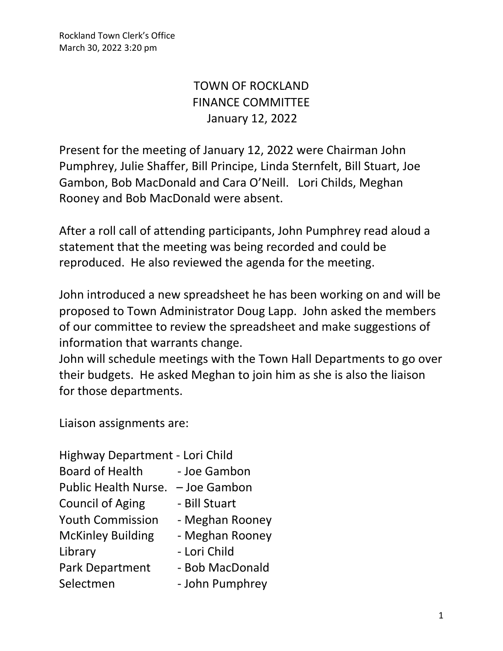Rockland Town Clerk's Office March 30, 2022 3:20 pm

## TOWN OF ROCKLAND FINANCE COMMITTEE January 12, 2022

Present for the meeting of January 12, 2022 were Chairman John Pumphrey, Julie Shaffer, Bill Principe, Linda Sternfelt, Bill Stuart, Joe Gambon, Bob MacDonald and Cara O'Neill. Lori Childs, Meghan Rooney and Bob MacDonald were absent.

After a roll call of attending participants, John Pumphrey read aloud a statement that the meeting was being recorded and could be reproduced. He also reviewed the agenda for the meeting.

John introduced a new spreadsheet he has been working on and will be proposed to Town Administrator Doug Lapp. John asked the members of our committee to review the spreadsheet and make suggestions of information that warrants change.

John will schedule meetings with the Town Hall Departments to go over their budgets. He asked Meghan to join him as she is also the liaison for those departments.

Liaison assignments are:

| Highway Department - Lori Child |                 |
|---------------------------------|-----------------|
| <b>Board of Health</b>          | - Joe Gambon    |
| <b>Public Health Nurse.</b>     | - Joe Gambon    |
| <b>Council of Aging</b>         | - Bill Stuart   |
| <b>Youth Commission</b>         | - Meghan Rooney |
| <b>McKinley Building</b>        | - Meghan Rooney |
| Library                         | - Lori Child    |
| <b>Park Department</b>          | - Bob MacDonald |
| Selectmen                       | - John Pumphrey |